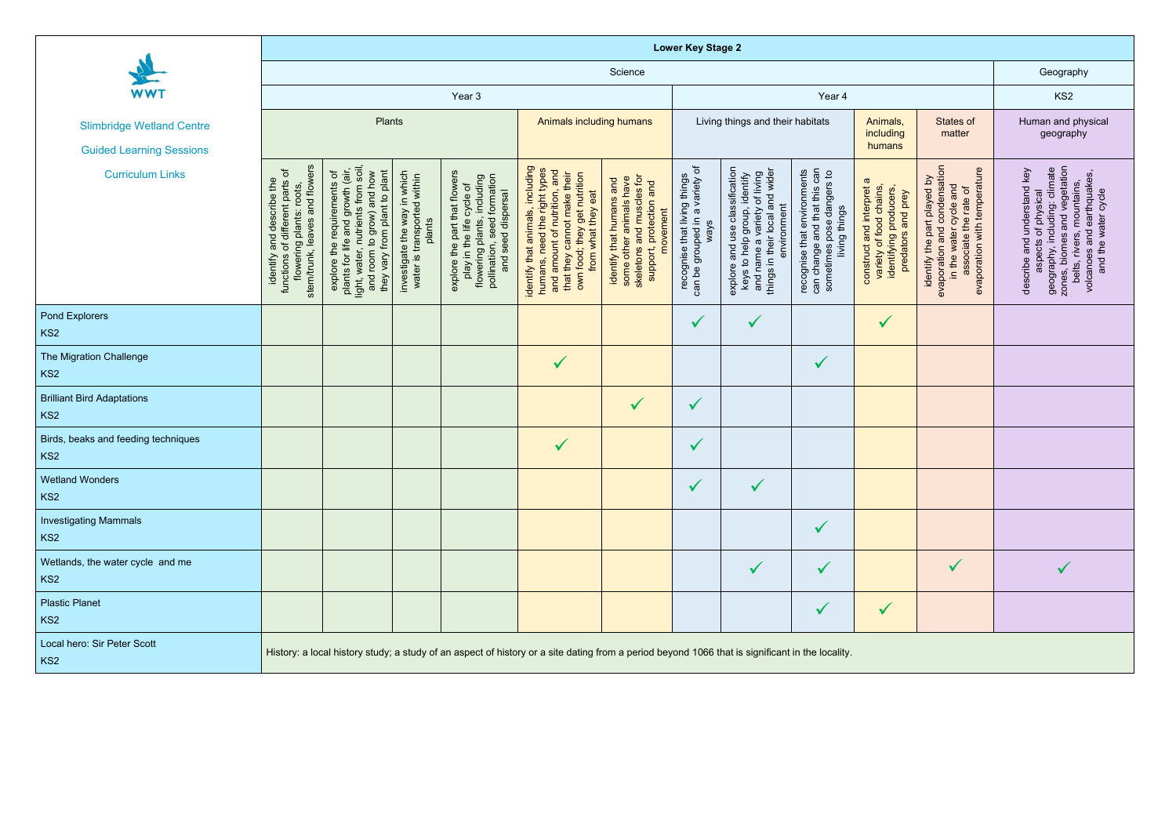|                                                                     | <b>Lower Key Stage 2</b>                                                                                                                        |                                                                                                                                                                     |                                                                                                |                                                                                                                                                                     |                                                                                                                                                                                                   |                                                                                                                               |                                                                        |                                                                                                                                                                      |                                                                                                           |                                                                                                      |                                                                                                                                                    |                                                                                                                                                                                                                                |
|---------------------------------------------------------------------|-------------------------------------------------------------------------------------------------------------------------------------------------|---------------------------------------------------------------------------------------------------------------------------------------------------------------------|------------------------------------------------------------------------------------------------|---------------------------------------------------------------------------------------------------------------------------------------------------------------------|---------------------------------------------------------------------------------------------------------------------------------------------------------------------------------------------------|-------------------------------------------------------------------------------------------------------------------------------|------------------------------------------------------------------------|----------------------------------------------------------------------------------------------------------------------------------------------------------------------|-----------------------------------------------------------------------------------------------------------|------------------------------------------------------------------------------------------------------|----------------------------------------------------------------------------------------------------------------------------------------------------|--------------------------------------------------------------------------------------------------------------------------------------------------------------------------------------------------------------------------------|
|                                                                     | Science                                                                                                                                         |                                                                                                                                                                     |                                                                                                |                                                                                                                                                                     |                                                                                                                                                                                                   |                                                                                                                               |                                                                        |                                                                                                                                                                      |                                                                                                           |                                                                                                      | Geography                                                                                                                                          |                                                                                                                                                                                                                                |
| <b>WWT</b>                                                          | Year 3                                                                                                                                          |                                                                                                                                                                     |                                                                                                |                                                                                                                                                                     |                                                                                                                                                                                                   | Year 4                                                                                                                        |                                                                        |                                                                                                                                                                      |                                                                                                           |                                                                                                      | KS <sub>2</sub>                                                                                                                                    |                                                                                                                                                                                                                                |
| <b>Slimbridge Wetland Centre</b><br><b>Guided Learning Sessions</b> | Plants                                                                                                                                          |                                                                                                                                                                     |                                                                                                |                                                                                                                                                                     | Animals including humans                                                                                                                                                                          |                                                                                                                               | Living things and their habitats                                       |                                                                                                                                                                      |                                                                                                           | Animals,<br>including<br>humans                                                                      | States of<br>matter                                                                                                                                | Human and physical<br>geography                                                                                                                                                                                                |
| <b>Curriculum Links</b>                                             | and flowers<br>identify and describe the<br>nctions of different parts of<br>roots,<br>flowering plants:<br>leaves<br>stem/trunk,<br>functions  | light, water, nutrients from soil,<br>and room to grow) and how<br>plants for life and growth (air,<br>they vary from plant to plant<br>explore the requirements of | investigate the way in which<br>water is transported within<br>is transported within<br>plants | part that flowers<br>flowering plants, including<br>pollination, seed formation<br>$\sigma$<br>dispersal<br>the life cycle<br>seed<br>explore the pay in the<br>and | identify that animals, including<br>humans, need the right types<br>and amount of nutrition, and<br>that they cannot make their<br>they get nutrition<br>eat<br>they<br>what<br>own food;<br>from | some other animals have<br>skeletons and muscles for<br>and<br>protection and<br>identify that humans<br>movement<br>support, | can be grouped in a variety of<br>recognise that living things<br>ways | e and use classification<br>to help group, identify<br>and wider<br>variety of living<br>environment<br>things in their local<br>name a<br>explore<br>keys to<br>and | can change and that this can<br>recognise that environments<br>sometimes pose dangers to<br>living things | construct and interpret a<br>variety of food chains,<br>identifying producers,<br>predators and prey | evaporation and condensation<br>evaporation with temperature<br>identify the part played by<br>in the water cycle and<br>đ<br>rate<br>ssociate the | biomes and vegetation<br>geography, including: climate<br>zones, biomes and vegetation<br>belts, rivers, mountains,<br>volcanoes and earthquakes,<br>describe and understand key<br>aspects of physical<br>and the water cycle |
| Pond Explorers<br>KS <sub>2</sub>                                   |                                                                                                                                                 |                                                                                                                                                                     |                                                                                                |                                                                                                                                                                     |                                                                                                                                                                                                   |                                                                                                                               | $\checkmark$                                                           | $\checkmark$                                                                                                                                                         |                                                                                                           | $\checkmark$                                                                                         |                                                                                                                                                    |                                                                                                                                                                                                                                |
| The Migration Challenge<br>KS <sub>2</sub>                          |                                                                                                                                                 |                                                                                                                                                                     |                                                                                                |                                                                                                                                                                     | $\checkmark$                                                                                                                                                                                      |                                                                                                                               |                                                                        |                                                                                                                                                                      | $\checkmark$                                                                                              |                                                                                                      |                                                                                                                                                    |                                                                                                                                                                                                                                |
| <b>Brilliant Bird Adaptations</b><br>KS <sub>2</sub>                |                                                                                                                                                 |                                                                                                                                                                     |                                                                                                |                                                                                                                                                                     |                                                                                                                                                                                                   | $\checkmark$                                                                                                                  | $\checkmark$                                                           |                                                                                                                                                                      |                                                                                                           |                                                                                                      |                                                                                                                                                    |                                                                                                                                                                                                                                |
| Birds, beaks and feeding techniques<br>KS <sub>2</sub>              |                                                                                                                                                 |                                                                                                                                                                     |                                                                                                |                                                                                                                                                                     | $\checkmark$                                                                                                                                                                                      |                                                                                                                               | $\checkmark$                                                           |                                                                                                                                                                      |                                                                                                           |                                                                                                      |                                                                                                                                                    |                                                                                                                                                                                                                                |
| <b>Wetland Wonders</b><br>KS <sub>2</sub>                           |                                                                                                                                                 |                                                                                                                                                                     |                                                                                                |                                                                                                                                                                     |                                                                                                                                                                                                   |                                                                                                                               |                                                                        |                                                                                                                                                                      |                                                                                                           |                                                                                                      |                                                                                                                                                    |                                                                                                                                                                                                                                |
| <b>Investigating Mammals</b><br>KS <sub>2</sub>                     |                                                                                                                                                 |                                                                                                                                                                     |                                                                                                |                                                                                                                                                                     |                                                                                                                                                                                                   |                                                                                                                               |                                                                        |                                                                                                                                                                      | $\checkmark$                                                                                              |                                                                                                      |                                                                                                                                                    |                                                                                                                                                                                                                                |
| Wetlands, the water cycle and me<br>KS <sub>2</sub>                 |                                                                                                                                                 |                                                                                                                                                                     |                                                                                                |                                                                                                                                                                     |                                                                                                                                                                                                   |                                                                                                                               |                                                                        |                                                                                                                                                                      | $\checkmark$                                                                                              |                                                                                                      | $\checkmark$                                                                                                                                       |                                                                                                                                                                                                                                |
| <b>Plastic Planet</b><br>KS <sub>2</sub>                            |                                                                                                                                                 |                                                                                                                                                                     |                                                                                                |                                                                                                                                                                     |                                                                                                                                                                                                   |                                                                                                                               |                                                                        |                                                                                                                                                                      | $\checkmark$                                                                                              | $\checkmark$                                                                                         |                                                                                                                                                    |                                                                                                                                                                                                                                |
| Local hero: Sir Peter Scott<br>KS <sub>2</sub>                      | History: a local history study; a study of an aspect of history or a site dating from a period beyond 1066 that is significant in the locality. |                                                                                                                                                                     |                                                                                                |                                                                                                                                                                     |                                                                                                                                                                                                   |                                                                                                                               |                                                                        |                                                                                                                                                                      |                                                                                                           |                                                                                                      |                                                                                                                                                    |                                                                                                                                                                                                                                |